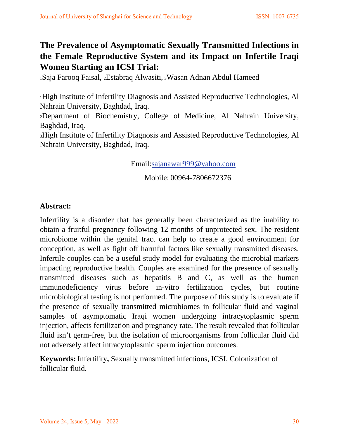# **The Prevalence of Asymptomatic Sexually Transmitted Infections in the Female Reproductive System and its Impact on Infertile Iraqi Women Starting an ICSI Trial:**

1Saja Farooq Faisal, 2Estabraq Alwasiti, 3Wasan Adnan Abdul Hameed

1High Institute of Infertility Diagnosis and Assisted Reproductive Technologies, Al Nahrain University, Baghdad, Iraq.

2Department of Biochemistry, College of Medicine, Al Nahrain University, Baghdad, Iraq.

3High Institute of Infertility Diagnosis and Assisted Reproductive Technologies, Al Nahrain University, Baghdad, Iraq.

Email:sajanawar999@yahoo.com

Mobile: 00964-7806672376

## **Abstract:**

Infertility is a disorder that has generally been characterized as the inability to obtain a fruitful pregnancy following 12 months of unprotected sex. The resident microbiome within the genital tract can help to create a good environment for conception, as well as fight off harmful factors like sexually transmitted diseases. Infertile couples can be a useful study model for evaluating the microbial markers impacting reproductive health. Couples are examined for the presence of sexually transmitted diseases such as hepatitis B and C, as well as the human immunodeficiency virus before in-vitro fertilization cycles, but routine microbiological testing is not performed. The purpose of this study is to evaluate if the presence of sexually transmitted microbiomes in follicular fluid and vaginal samples of asymptomatic Iraqi women undergoing intracytoplasmic sperm injection, affects fertilization and pregnancy rate. The result revealed that follicular fluid isn't germ-free, but the isolation of microorganisms from follicular fluid did not adversely affect intracytoplasmic sperm injection outcomes.

**Keywords:** Infertility**,** Sexually transmitted infections, ICSI, Colonization of follicular fluid.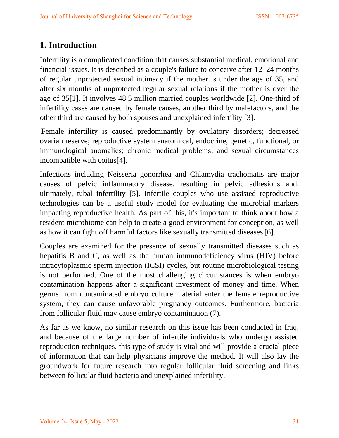# **1. Introduction**

Infertility is a complicated condition that causes substantial medical, emotional and financial issues. It is described as a couple's failure to conceive after 12–24 months of regular unprotected sexual intimacy if the mother is under the age of 35, and after six months of unprotected regular sexual relations if the mother is over the age of 35[1]. It involves 48.5 million married couples worldwide [2]. One-third of infertility cases are caused by female causes, another third by malefactors, and the other third are caused by both spouses and unexplained infertility [3].

Female infertility is caused predominantly by ovulatory disorders; decreased ovarian reserve; reproductive system anatomical, endocrine, genetic, functional, or immunological anomalies; chronic medical problems; and sexual circumstances incompatible with coitus[4].

Infections including Neisseria gonorrhea and Chlamydia trachomatis are major causes of pelvic inflammatory disease, resulting in pelvic adhesions and, ultimately, tubal infertility [5]. Infertile couples who use assisted reproductive technologies can be a useful study model for evaluating the microbial markers impacting reproductive health. As part of this, it's important to think about how a resident microbiome can help to create a good environment for conception, as well as how it can fight off harmful factors like sexually transmitted diseases[6].

Couples are examined for the presence of sexually transmitted diseases such as hepatitis B and C, as well as the human immunodeficiency virus (HIV) before intracytoplasmic sperm injection (ICSI) cycles, but routine microbiological testing is not performed. One of the most challenging circumstances is when embryo contamination happens after a significant investment of money and time. When germs from contaminated embryo culture material enter the female reproductive system, they can cause unfavorable pregnancy outcomes. Furthermore, bacteria from follicular fluid may cause embryo contamination (7).

As far as we know, no similar research on this issue has been conducted in Iraq, and because of the large number of infertile individuals who undergo assisted reproduction techniques, this type of study is vital and will provide a crucial piece of information that can help physicians improve the method. It will also lay the groundwork for future research into regular follicular fluid screening and links between follicular fluid bacteria and unexplained infertility.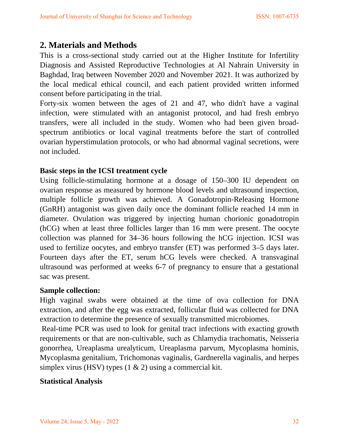## **2. Materials and Methods**

This is a cross-sectional study carried out at the Higher Institute for Infertility Diagnosis and Assisted Reproductive Technologies at Al Nahrain University in Baghdad, Iraq between November 2020 and November 2021. It was authorized by the local medical ethical council, and each patient provided written informed consent before participating in the trial.

Forty-six women between the ages of 21 and 47, who didn't have a vaginal infection, were stimulated with an antagonist protocol, and had fresh embryo transfers, were all included in the study. Women who had been given broadspectrum antibiotics or local vaginal treatments before the start of controlled ovarian hyperstimulation protocols, or who had abnormal vaginal secretions, were not included.

#### **Basic steps in the ICSI treatment cycle**

Using follicle-stimulating hormone at a dosage of 150–300 IU dependent on ovarian response as measured by hormone blood levels and ultrasound inspection, multiple follicle growth was achieved. A Gonadotropin-Releasing Hormone (GnRH) antagonist was given daily once the dominant follicle reached 14 mm in diameter. Ovulation was triggered by injecting human chorionic gonadotropin (hCG) when at least three follicles larger than 16 mm were present. The oocyte collection was planned for 34–36 hours following the hCG injection. ICSI was used to fertilize oocytes, and embryo transfer (ET) was performed 3–5 days later. Fourteen days after the ET, serum hCG levels were checked. A transvaginal ultrasound was performed at weeks 6-7 of pregnancy to ensure that a gestational sac was present.

#### **Sample collection:**

High vaginal swabs were obtained at the time of ova collection for DNA extraction, and after the egg was extracted, follicular fluid was collected for DNA extraction to determine the presence of sexually transmitted microbiomes.

Real-time PCR was used to look for genital tract infections with exacting growth requirements or that are non-cultivable, such as Chlamydia trachomatis, Neisseria gonorrhea, Ureaplasma urealyticum, Ureaplasma parvum, Mycoplasma hominis, Mycoplasma genitalium, Trichomonas vaginalis, Gardnerella vaginalis, and herpes simplex virus (HSV) types (1 & 2) using a commercial kit.

#### **Statistical Analysis**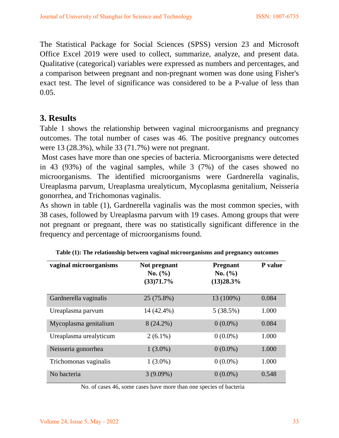The Statistical Package for Social Sciences (SPSS) version 23 and Microsoft Office Excel 2019 were used to collect, summarize, analyze, and present data. Qualitative (categorical) variables were expressed as numbers and percentages, and a comparison between pregnant and non-pregnant women was done using Fisher's exact test. The level of significance was considered to be a P-value of less than 0.05.

## **3. Results**

Table 1 shows the relationship between vaginal microorganisms and pregnancy outcomes. The total number of cases was 46. The positive pregnancy outcomes were 13 (28.3%), while 33 (71.7%) were not pregnant.

Most cases have more than one species of bacteria. Microorganisms were detected in 43 (93%) of the vaginal samples, while 3 (7%) of the cases showed no microorganisms. The identified microorganisms were Gardnerella vaginalis, Ureaplasma parvum, Ureaplasma urealyticum, Mycoplasma genitalium, Neisseria gonorrhea, and Trichomonas vaginalis.

As shown in table (1), Gardnerella vaginalis was the most common species, with 38 cases, followed by Ureaplasma parvum with 19 cases. Among groups that were not pregnant or pregnant, there was no statistically significant difference in the frequency and percentage of microorganisms found.

| vaginal microorganisms | Not pregnant<br>No. (%)<br>(33)71.7% | <b>Pregnant</b><br>No. (%)<br>(13)28.3% | P value |
|------------------------|--------------------------------------|-----------------------------------------|---------|
| Gardnerella vaginalis  | 25 (75.8%)                           | 13 (100%)                               | 0.084   |
| Ureaplasma parvum      | 14 (42.4%)                           | 5(38.5%)                                | 1.000   |
| Mycoplasma genitalium  | $8(24.2\%)$                          | $0(0.0\%)$                              | 0.084   |
| Ureaplasma urealyticum | $2(6.1\%)$                           | $0(0.0\%)$                              | 1.000   |
| Neisseria gonorrhea    | $1(3.0\%)$                           | $0(0.0\%)$                              | 1.000   |
| Trichomonas vaginalis  | $1(3.0\%)$                           | $0(0.0\%)$                              | 1.000   |
| No bacteria            | $3(9.09\%)$                          | $0(0.0\%)$                              | 0.548   |

**Table (1): The relationship between vaginal microorganisms and pregnancy outcomes**

No. of cases 46, some cases have more than one species of bacteria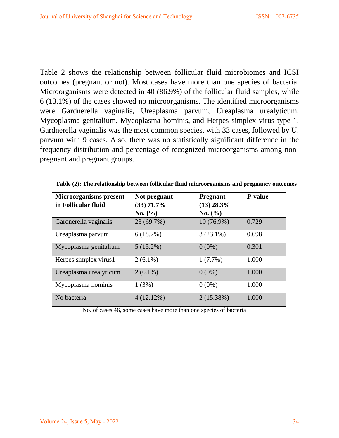Table 2 shows the relationship between follicular fluid microbiomes and ICSI outcomes (pregnant or not). Most cases have more than one species of bacteria. Microorganisms were detected in 40 (86.9%) of the follicular fluid samples, while 6 (13.1%) of the cases showed no microorganisms. The identified microorganisms were Gardnerella vaginalis, Ureaplasma parvum, Ureaplasma urealyticum, Mycoplasma genitalium, Mycoplasma hominis, and Herpes simplex virus type-1. Gardnerella vaginalis was the most common species, with 33 cases, followed by U. parvum with 9 cases. Also, there was no statistically significant difference in the frequency distribution and percentage of recognized microorganisms among nonpregnant and pregnant groups.

| <b>Microorganisms</b> present | Not pregnant | <b>Pregnant</b> | <b>P-value</b> |
|-------------------------------|--------------|-----------------|----------------|
| in Follicular fluid           | $(33)$ 71.7% | $(13)$ 28.3%    |                |
|                               | No. (%)      | No. (%)         |                |
| Gardnerella vaginalis         | 23 (69.7%)   | $10(76.9\%)$    | 0.729          |
| Ureaplasma parvum             | $6(18.2\%)$  | $3(23.1\%)$     | 0.698          |
| Mycoplasma genitalium         | $5(15.2\%)$  | $0(0\%)$        | 0.301          |
| Herpes simplex virus1         | $2(6.1\%)$   | $1(7.7\%)$      | 1.000          |
| Ureaplasma urealyticum        | $2(6.1\%)$   | $0(0\%)$        | 1.000          |
| Mycoplasma hominis            | 1(3%)        | $0(0\%)$        | 1.000          |
| No bacteria                   | 4(12.12%)    | 2(15.38%)       | 1.000          |

**Table (2): The relationship between follicular fluid microorganisms and pregnancy outcomes**

No. of cases 46, some cases have more than one species of bacteria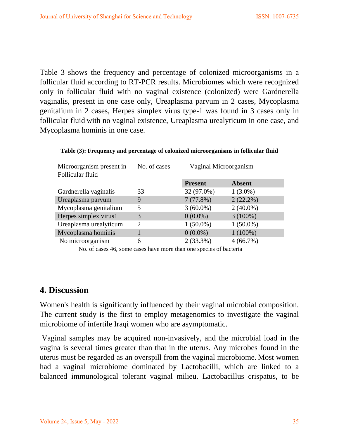Table 3 shows the frequency and percentage of colonized microorganisms in a follicular fluid according to RT-PCR results. Microbiomes which were recognized only in follicular fluid with no vaginal existence (colonized) were Gardnerella vaginalis, present in one case only, Ureaplasma parvum in 2 cases, Mycoplasma genitalium in 2 cases, Herpes simplex virus type-1 was found in 3 cases only in follicular fluid with no vaginal existence, Ureaplasma urealyticum in one case, and Mycoplasma hominis in one case.

| Microorganism present in | No. of cases | Vaginal Microorganism |               |
|--------------------------|--------------|-----------------------|---------------|
| Follicular fluid         |              |                       |               |
|                          |              | <b>Present</b>        | <b>Absent</b> |
| Gardnerella vaginalis    | 33           | 32 (97.0%)            | $1(3.0\%)$    |
| Ureaplasma parvum        | 9            | 7(77.8%)              | $2(22.2\%)$   |
| Mycoplasma genitalium    | 5            | $3(60.0\%)$           | $2(40.0\%)$   |
| Herpes simplex virus1    | 3            | $0(0.0\%)$            | $3(100\%)$    |
| Ureaplasma urealyticum   | 2            | $1(50.0\%)$           | $1(50.0\%)$   |
| Mycoplasma hominis       |              | $0(0.0\%)$            | $1(100\%)$    |
| No microorganism         | 6            | $2(33.3\%)$           | 4(66.7%)      |

**Table (3): Frequency and percentage of colonized microorganisms in follicular fluid**

No. of cases 46, some cases have more than one species of bacteria

### **4. Discussion**

Women's health is significantly influenced by their vaginal microbial composition. The current study is the first to employ metagenomics to investigate the vaginal microbiome of infertile Iraqi women who are asymptomatic.

Vaginal samples may be acquired non-invasively, and the microbial load in the vagina is several times greater than that in the uterus. Any microbes found in the uterus must be regarded as an overspill from the vaginal microbiome. Most women had a vaginal microbiome dominated by Lactobacilli, which are linked to a balanced immunological tolerant vaginal milieu. Lactobacillus crispatus, to be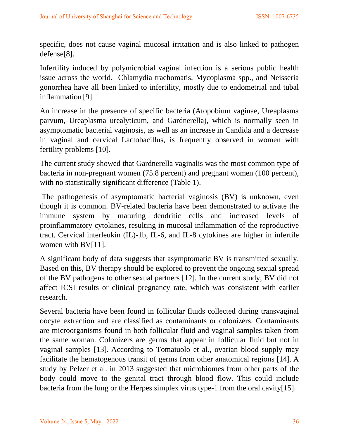specific, does not cause vaginal mucosal irritation and is also linked to pathogen defense[8].

Infertility induced by polymicrobial vaginal infection is a serious public health issue across the world. Chlamydia trachomatis, Mycoplasma spp., and Neisseria gonorrhea have all been linked to infertility, mostly due to endometrial and tubal inflammation [9].

An increase in the presence of specific bacteria (Atopobium vaginae, Ureaplasma parvum, Ureaplasma urealyticum, and Gardnerella), which is normally seen in asymptomatic bacterial vaginosis, as well as an increase in Candida and a decrease in vaginal and cervical Lactobacillus, is frequently observed in women with fertility problems [10].

The current study showed that Gardnerella vaginalis was the most common type of bacteria in non-pregnant women (75.8 percent) and pregnant women (100 percent), with no statistically significant difference (Table 1).

The pathogenesis of asymptomatic bacterial vaginosis (BV) is unknown, even though it is common. BV-related bacteria have been demonstrated to activate the immune system by maturing dendritic cells and increased levels of proinflammatory cytokines, resulting in mucosal inflammation of the reproductive tract. Cervical interleukin (IL)-1b, IL-6, and IL-8 cytokines are higher in infertile women with BV[11].

A significant body of data suggests that asymptomatic BV is transmitted sexually. Based on this, BV therapy should be explored to prevent the ongoing sexual spread of the BV pathogens to other sexual partners [12]. In the current study, BV did not affect ICSI results or clinical pregnancy rate, which was consistent with earlier research.

Several bacteria have been found in follicular fluids collected during transvaginal oocyte extraction and are classified as contaminants or colonizers. Contaminants are microorganisms found in both follicular fluid and vaginal samples taken from the same woman. Colonizers are germs that appear in follicular fluid but not in vaginal samples [13]. According to Tomaiuolo et al., ovarian blood supply may facilitate the hematogenous transit of germs from other anatomical regions [14]. A study by Pelzer et al. in 2013 suggested that microbiomes from other parts of the body could move to the genital tract through blood flow. This could include bacteria from the lung or the Herpes simplex virus type-1 from the oral cavity[15].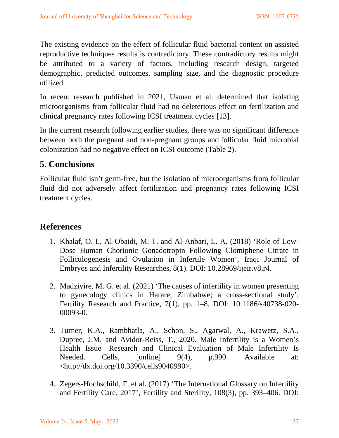The existing evidence on the effect of follicular fluid bacterial content on assisted reproductive techniques results is contradictory. These contradictory results might be attributed to a variety of factors, including research design, targeted demographic, predicted outcomes, sampling size, and the diagnostic procedure utilized.

In recent research published in 2021, Usman et al. determined that isolating microorganisms from follicular fluid had no deleterious effect on fertilization and clinical pregnancy rates following ICSI treatment cycles [13].

In the current research following earlier studies, there was no significant difference between both the pregnant and non-pregnant groups and follicular fluid microbial colonization had no negative effect on ICSI outcome (Table 2).

# **5. Conclusions**

Follicular fluid isn't germ-free, but the isolation of microorganisms from follicular fluid did not adversely affect fertilization and pregnancy rates following ICSI treatment cycles.

## **References**

- 1. Khalaf, O. I., Al-Obaidi, M. T. and Al-Anbari, L. A. (2018) 'Role of Low-Dose Human Chorionic Gonadotropin Following Clomiphene Citrate in Folliculogenesis and Ovulation in Infertile Women', Iraqi Journal of Embryos and Infertility Researches, 8(1). DOI: 10.28969/ijeir.v8.r4.
- 2. Madziyire, M. G. et al. (2021) 'The causes of infertility in women presenting to gynecology clinics in Harare, Zimbabwe; a cross-sectional study', Fertility Research and Practice, 7(1), pp. 1–8. DOI: 10.1186/s40738-020- 00093-0.
- 3. Turner, K.A., Rambhatla, A., Schon, S., Agarwal, A., Krawetz, S.A., Dupree, J.M. and Avidor-Reiss, T., 2020. Male Infertility is a Women's Health Issue—Research and Clinical Evaluation of Male Infertility Is Needed. Cells, [online] 9(4), p.990. Available at: <http://dx.doi.org/10.3390/cells9040990>.
- 4. Zegers-Hochschild, F. et al. (2017) 'The International Glossary on Infertility and Fertility Care, 2017', Fertility and Sterility, 108(3), pp. 393–406. DOI: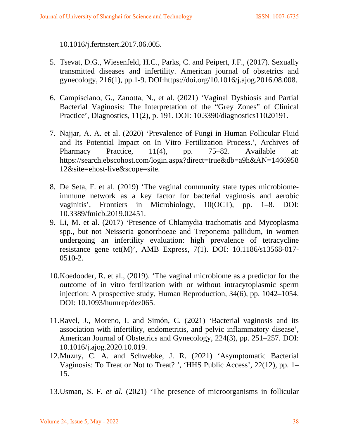10.1016/j.fertnstert.2017.06.005.

- 5. Tsevat, D.G., Wiesenfeld, H.C., Parks, C. and Peipert, J.F., (2017). Sexually transmitted diseases and infertility. American journal of obstetrics and gynecology, 216(1), pp.1-9. DOI:https://doi.org/10.1016/j.ajog.2016.08.008.
- 6. Campisciano, G., Zanotta, N., et al. (2021) 'Vaginal Dysbiosis and Partial Bacterial Vaginosis: The Interpretation of the "Grey Zones" of Clinical Practice', Diagnostics, 11(2), p. 191. DOI: 10.3390/diagnostics11020191.
- 7. Najjar, A. A. et al. (2020) 'Prevalence of Fungi in Human Follicular Fluid and Its Potential Impact on In Vitro Fertilization Process.', Archives of Pharmacy Practice, 11(4), pp. 75–82. Available at: https://search.ebscohost.com/login.aspx?direct=true&db=a9h&AN=1466958 12&site=ehost-live&scope=site.
- 8. De Seta, F. et al. (2019) 'The vaginal community state types microbiomeimmune network as a key factor for bacterial vaginosis and aerobic vaginitis', Frontiers in Microbiology, 10(OCT), pp. 1–8. DOI: 10.3389/fmicb.2019.02451.
- 9. Li, M. et al. (2017) 'Presence of Chlamydia trachomatis and Mycoplasma spp., but not Neisseria gonorrhoeae and Treponema pallidum, in women undergoing an infertility evaluation: high prevalence of tetracycline resistance gene tet(M)', AMB Express, 7(1). DOI: 10.1186/s13568-017- 0510-2.
- 10.Koedooder, R. et al., (2019). 'The vaginal microbiome as a predictor for the outcome of in vitro fertilization with or without intracytoplasmic sperm injection: A prospective study, Human Reproduction, 34(6), pp. 1042–1054. DOI: 10.1093/humrep/dez065.
- 11.Ravel, J., Moreno, I. and Simón, C. (2021) 'Bacterial vaginosis and its association with infertility, endometritis, and pelvic inflammatory disease', American Journal of Obstetrics and Gynecology, 224(3), pp. 251–257. DOI: 10.1016/j.ajog.2020.10.019.
- 12.Muzny, C. A. and Schwebke, J. R. (2021) 'Asymptomatic Bacterial Vaginosis: To Treat or Not to Treat? ', 'HHS Public Access', 22(12), pp. 1– 15.

13.Usman, S. F. *et al.* (2021) 'The presence of microorganisms in follicular